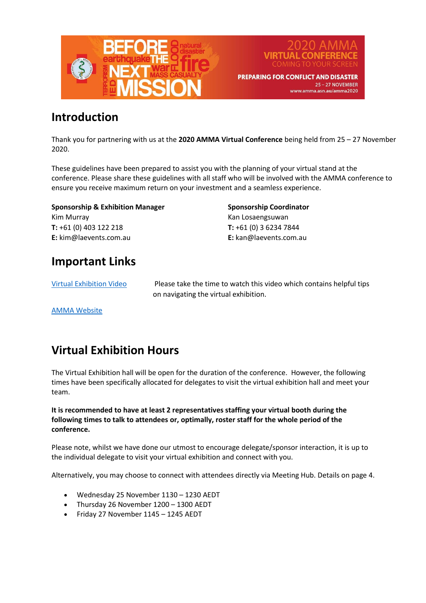



**PREPARING FOR CONFLICT AND DISASTER** 25-27 NOVEMBER www.amma.asn.au/amma2020

## **Introduction**

Thank you for partnering with us at the **2020 AMMA Virtual Conference** being held from 25 – 27 November 2020.

These guidelines have been prepared to assist you with the planning of your virtual stand at the conference. Please share these guidelines with all staff who will be involved with the AMMA conference to ensure you receive maximum return on your investment and a seamless experience.

**Sponsorship & Exhibition Manager**  Kim Murray **T:** +61 (0) 403 122 218 **E:** kim@laevents.com.au

**Sponsorship Coordinator**  Kan Losaengsuwan **T:** +61 (0) 3 6234 7844 **E:** kan@laevents.com.au

## **Important Links**

[Virtual Exhibition Video](https://www.youtube.com/watch?v=nh0RgSTkkw0) Please take the time to watch this video which contains helpful tips on navigating the virtual exhibition.

[AMMA Website](https://www.amma.asn.au/amma2020/)

# **Virtual Exhibition Hours**

The Virtual Exhibition hall will be open for the duration of the conference. However, the following times have been specifically allocated for delegates to visit the virtual exhibition hall and meet your team.

**It is recommended to have at least 2 representatives staffing your virtual booth during the following times to talk to attendees or, optimally, roster staff for the whole period of the conference.**

Please note, whilst we have done our utmost to encourage delegate/sponsor interaction, it is up to the individual delegate to visit your virtual exhibition and connect with you.

Alternatively, you may choose to connect with attendees directly via Meeting Hub. Details on page 4.

- Wednesday 25 November 1130 1230 AEDT
- Thursday 26 November 1200 1300 AEDT
- Friday 27 November 1145 1245 AEDT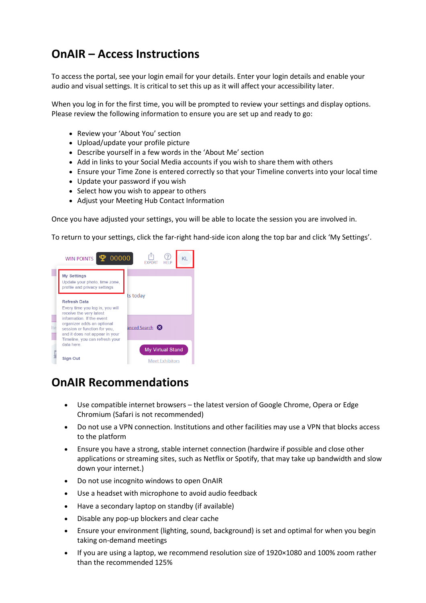# **OnAIR – Access Instructions**

To access the portal, see your login email for your details. Enter your login details and enable your audio and visual settings. It is critical to set this up as it will affect your accessibility later.

When you log in for the first time, you will be prompted to review your settings and display options. Please review the following information to ensure you are set up and ready to go:

- Review your 'About You' section
- Upload/update your profile picture
- Describe yourself in a few words in the 'About Me' section
- Add in links to your Social Media accounts if you wish to share them with others
- Ensure your Time Zone is entered correctly so that your Timeline converts into your local time
- Update your password if you wish
- Select how you wish to appear to others
- Adjust your Meeting Hub Contact Information

Once you have adjusted your settings, you will be able to locate the session you are involved in.

To return to your settings, click the far-right hand-side icon along the top bar and click 'My Settings'.



### **OnAIR Recommendations**

- Use compatible internet browsers the latest version of Google Chrome, Opera or Edge Chromium (Safari is not recommended)
- Do not use a VPN connection. Institutions and other facilities may use a VPN that blocks access to the platform
- Ensure you have a strong, stable internet connection (hardwire if possible and close other applications or streaming sites, such as Netflix or Spotify, that may take up bandwidth and slow down your internet.)
- Do not use incognito windows to open OnAIR
- Use a headset with microphone to avoid audio feedback
- Have a secondary laptop on standby (if available)
- Disable any pop-up blockers and clear cache
- Ensure your environment (lighting, sound, background) is set and optimal for when you begin taking on-demand meetings
- If you are using a laptop, we recommend resolution size of 1920×1080 and 100% zoom rather than the recommended 125%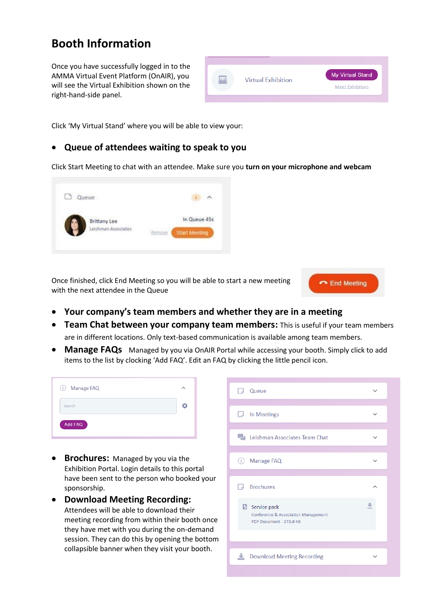## **Booth Information**

Once you have successfully logged in to the AMMA Virtual Event Platform (OnAIR), you will see the Virtual Exhibition shown on the right-hand-side panel.



Click 'My Virtual Stand' where you will be able to view your:  

#### • **Queue of attendees waiting to speak to you**

Click Start Meeting to chat with an attendee. Make sure you **turn on your microphone and webcam**



Once finished, click End Meeting so you will be able to start a new meeting with the next attendee in the Queue



- **Your company's team members and whether they are in a meeting**
- **Team Chat between your company team members:** This is useful if your team members are in different locations. Only text-based communication is available among team members.
- **Manage FAQs** Managed by you via OnAIR Portal while accessing your booth. Simply click to add items to the list by clocking 'Add FAQ'. Edit an FAQ by clicking the little pencil icon.

| Search |  |
|--------|--|

- **Brochures:**  Managed by you via the Exhibition Portal. Login details to this portal have been sent to the person who booked your sponsorship.
- **Download Meeting Recording:**  Attendees will be able to download their meeting recording from within their booth once they have met with you during the on-demand session. They can do this by opening the bottom collapsible banner when they visit your booth.

| Queue                                                                                   |  |
|-----------------------------------------------------------------------------------------|--|
| In Meetings<br>L.J                                                                      |  |
| <b>Leishman Associates Team Chat</b>                                                    |  |
| Manage FAQ<br>$\binom{1}{1}$                                                            |  |
| <b>Brochures</b><br>لى .                                                                |  |
| <b>A</b> Service pack<br>Conference & Association Management<br>PDF Document - 273.6 KB |  |
|                                                                                         |  |
| Download Meeting Recording                                                              |  |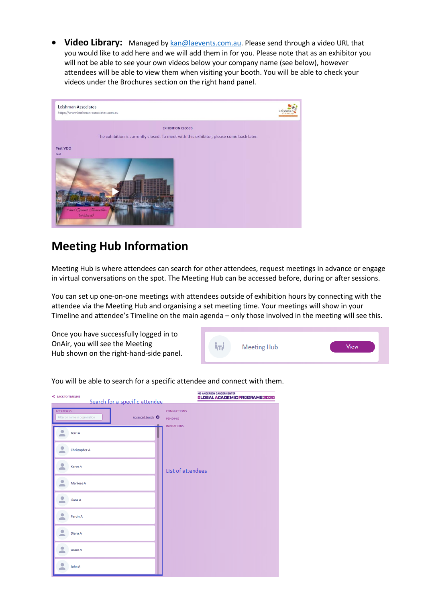**Video Library:** Managed by [kan@laevents.com.au.](mailto:kan@laevents.com.au) Please send through a video URL that you would like to add here and we will add them in for you. Please note that as an exhibitor you will not be able to see your own videos below your company name (see below), however attendees will be able to view them when visiting your booth. You will be able to check your videos under the Brochures section on the right hand panel.



## **Meeting Hub Information**

Meeting Hub is where attendees can search for other attendees, request meetings in advance or engage in virtual conversations on the spot. The Meeting Hub can be accessed before, during or after sessions.

You can set up one-on-one meetings with attendees outside of exhibition hours by connecting with the attendee via the Meeting Hub and organising a set meeting time. Your meetings will show in your Timeline and attendee's Timeline on the main agenda – only those involved in the meeting will see this.

Once you have successfully logged in to OnAir, you will see the Meeting Hub shown on the right-hand-side panel.



You will be able to search for a specific attendee and connect with them.

| < BACK TO TIMELINE<br>Search for a specific attendee                    | <b>MD ANDERSON CANCER CENTER</b><br>GLOBAL ACADEMIC PROGRAMS 2020 |
|-------------------------------------------------------------------------|-------------------------------------------------------------------|
| <b>ATTENDEES</b><br>Advanced Search O<br>Filter on name or organisation | <b>CONNECTIONS</b><br><b>PENDING</b>                              |
| Terri A                                                                 | <b>INVITATIONS</b>                                                |
| Christopher A                                                           |                                                                   |
| Karen A                                                                 | List of attendees                                                 |
| Marliese A                                                              |                                                                   |
| Liana A                                                                 |                                                                   |
| Parvin A<br>Diana A                                                     |                                                                   |
| Grace A                                                                 |                                                                   |
| John A                                                                  |                                                                   |